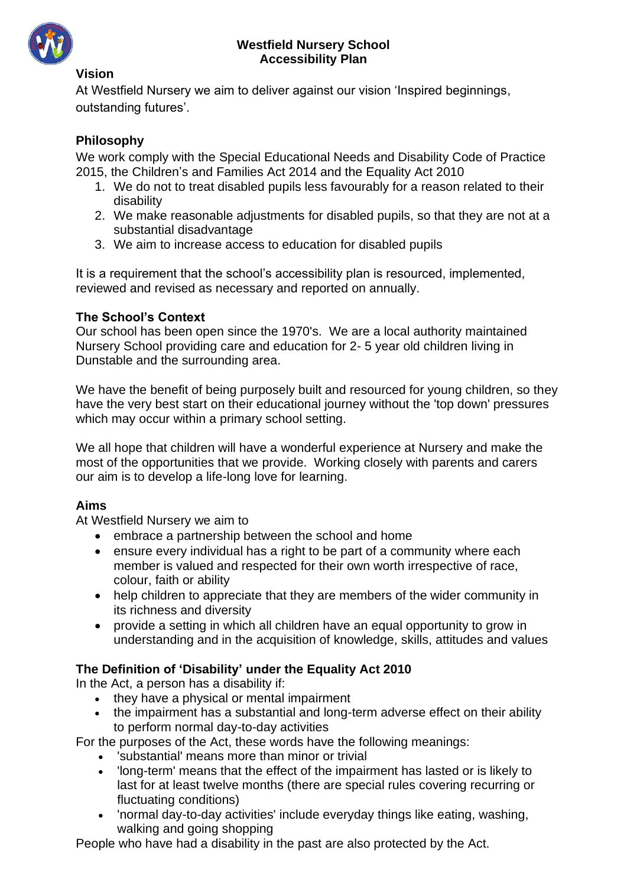

#### **Westfield Nursery School Accessibility Plan**

#### **Vision**

At Westfield Nursery we aim to deliver against our vision 'Inspired beginnings, outstanding futures'.

### **Philosophy**

We work comply with the Special Educational Needs and Disability Code of Practice 2015, the Children's and Families Act 2014 and the Equality Act 2010

- 1. We do not to treat disabled pupils less favourably for a reason related to their disability
- 2. We make reasonable adjustments for disabled pupils, so that they are not at a substantial disadvantage
- 3. We aim to increase access to education for disabled pupils

It is a requirement that the school's accessibility plan is resourced, implemented, reviewed and revised as necessary and reported on annually.

#### **The School's Context**

Our school has been open since the 1970's. We are a local authority maintained Nursery School providing care and education for 2- 5 year old children living in Dunstable and the surrounding area.

We have the benefit of being purposely built and resourced for young children, so they have the very best start on their educational journey without the 'top down' pressures which may occur within a primary school setting.

We all hope that children will have a wonderful experience at Nursery and make the most of the opportunities that we provide. Working closely with parents and carers our aim is to develop a life-long love for learning.

#### **Aims**

At Westfield Nursery we aim to

- embrace a partnership between the school and home
- ensure every individual has a right to be part of a community where each member is valued and respected for their own worth irrespective of race, colour, faith or ability
- help children to appreciate that they are members of the wider community in its richness and diversity
- provide a setting in which all children have an equal opportunity to grow in understanding and in the acquisition of knowledge, skills, attitudes and values

### **The Definition of 'Disability' under the Equality Act 2010**

In the Act, a person has a disability if:

- they have a physical or mental impairment
- the impairment has a substantial and long-term adverse effect on their ability to perform normal day-to-day activities

For the purposes of the Act, these words have the following meanings:

- 'substantial' means more than minor or trivial
- 'long-term' means that the effect of the impairment has lasted or is likely to last for at least twelve months (there are special rules covering recurring or fluctuating conditions)
- 'normal day-to-day activities' include everyday things like eating, washing, walking and going shopping

People who have had a disability in the past are also protected by the Act.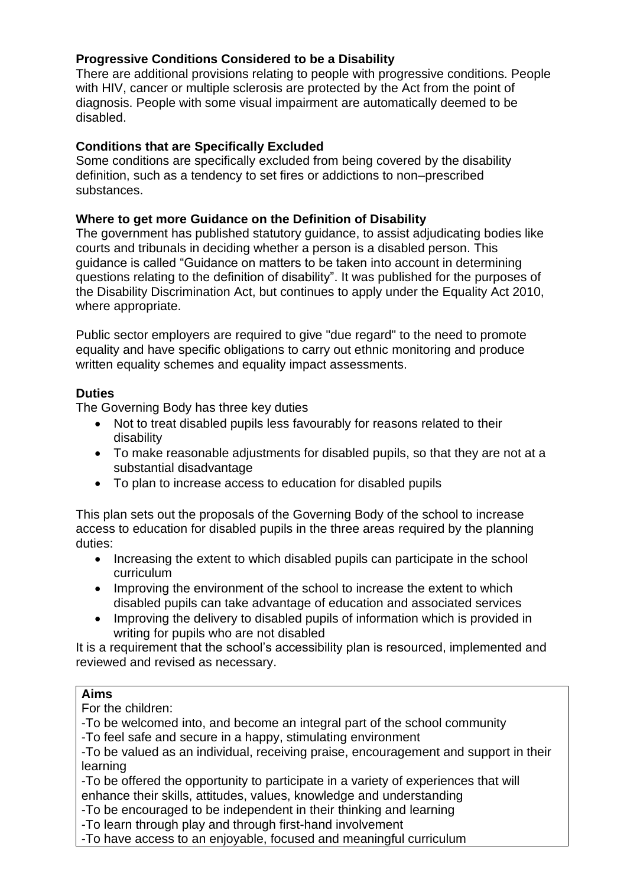### **Progressive Conditions Considered to be a Disability**

There are additional provisions relating to people with progressive conditions. People with HIV, cancer or multiple sclerosis are protected by the Act from the point of diagnosis. People with some visual impairment are automatically deemed to be disabled.

#### **Conditions that are Specifically Excluded**

Some conditions are specifically excluded from being covered by the disability definition, such as a tendency to set fires or addictions to non–prescribed substances.

#### **Where to get more Guidance on the Definition of Disability**

The government has published statutory guidance, to assist adjudicating bodies like courts and tribunals in deciding whether a person is a disabled person. This guidance is called "Guidance on matters to be taken into account in determining questions relating to the definition of disability". It was published for the purposes of the Disability Discrimination Act, but continues to apply under the Equality Act 2010, where appropriate.

Public sector employers are required to give "due regard" to the need to promote equality and have specific obligations to carry out ethnic monitoring and produce written equality schemes and equality impact assessments.

#### **Duties**

The Governing Body has three key duties

- Not to treat disabled pupils less favourably for reasons related to their disability
- To make reasonable adjustments for disabled pupils, so that they are not at a substantial disadvantage
- To plan to increase access to education for disabled pupils

This plan sets out the proposals of the Governing Body of the school to increase access to education for disabled pupils in the three areas required by the planning duties:

- Increasing the extent to which disabled pupils can participate in the school curriculum
- Improving the environment of the school to increase the extent to which disabled pupils can take advantage of education and associated services
- Improving the delivery to disabled pupils of information which is provided in writing for pupils who are not disabled

It is a requirement that the school's accessibility plan is resourced, implemented and reviewed and revised as necessary.

#### **Aims**

For the children:

-To be welcomed into, and become an integral part of the school community

-To feel safe and secure in a happy, stimulating environment

-To be valued as an individual, receiving praise, encouragement and support in their learning

-To be offered the opportunity to participate in a variety of experiences that will enhance their skills, attitudes, values, knowledge and understanding

-To be encouraged to be independent in their thinking and learning

-To learn through play and through first-hand involvement

-To have access to an enjoyable, focused and meaningful curriculum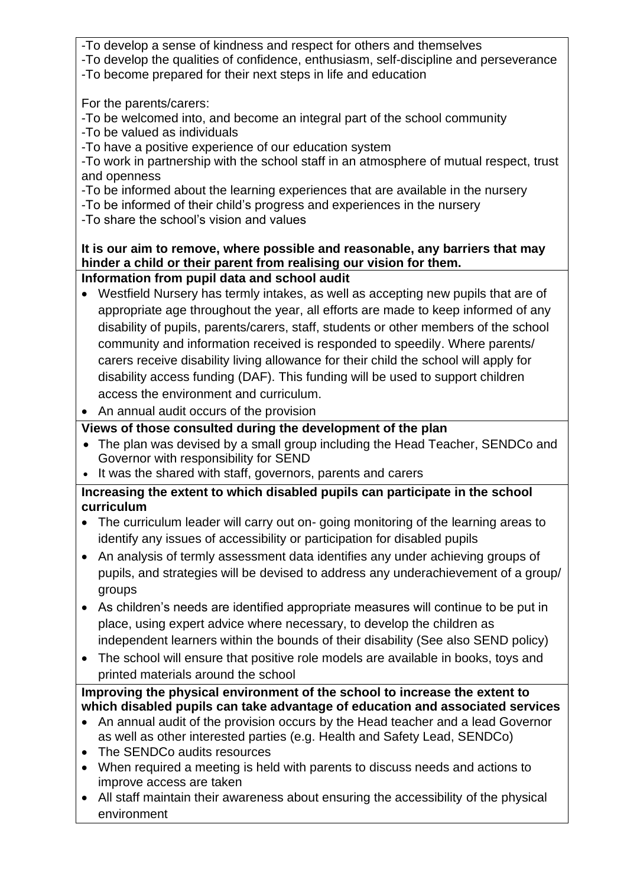- -To develop a sense of kindness and respect for others and themselves
- -To develop the qualities of confidence, enthusiasm, self-discipline and perseverance
- -To become prepared for their next steps in life and education

For the parents/carers:

- -To be welcomed into, and become an integral part of the school community
- -To be valued as individuals
- -To have a positive experience of our education system

-To work in partnership with the school staff in an atmosphere of mutual respect, trust and openness

- -To be informed about the learning experiences that are available in the nursery
- -To be informed of their child's progress and experiences in the nursery

-To share the school's vision and values

# **It is our aim to remove, where possible and reasonable, any barriers that may hinder a child or their parent from realising our vision for them.**

- **Information from pupil data and school audit**
- Westfield Nursery has termly intakes, as well as accepting new pupils that are of appropriate age throughout the year, all efforts are made to keep informed of any disability of pupils, parents/carers, staff, students or other members of the school community and information received is responded to speedily. Where parents/ carers receive disability living allowance for their child the school will apply for disability access funding (DAF). This funding will be used to support children access the environment and curriculum.
- An annual audit occurs of the provision

# **Views of those consulted during the development of the plan**

- The plan was devised by a small group including the Head Teacher, SENDCo and Governor with responsibility for SEND
- It was the shared with staff, governors, parents and carers

## **Increasing the extent to which disabled pupils can participate in the school curriculum**

- The curriculum leader will carry out on- going monitoring of the learning areas to identify any issues of accessibility or participation for disabled pupils
- An analysis of termly assessment data identifies any under achieving groups of pupils, and strategies will be devised to address any underachievement of a group/ groups
- As children's needs are identified appropriate measures will continue to be put in place, using expert advice where necessary, to develop the children as independent learners within the bounds of their disability (See also SEND policy)
- The school will ensure that positive role models are available in books, toys and printed materials around the school

# **Improving the physical environment of the school to increase the extent to which disabled pupils can take advantage of education and associated services**

- An annual audit of the provision occurs by the Head teacher and a lead Governor as well as other interested parties (e.g. Health and Safety Lead, SENDCo)
- The SENDCo audits resources
- When required a meeting is held with parents to discuss needs and actions to improve access are taken
- All staff maintain their awareness about ensuring the accessibility of the physical environment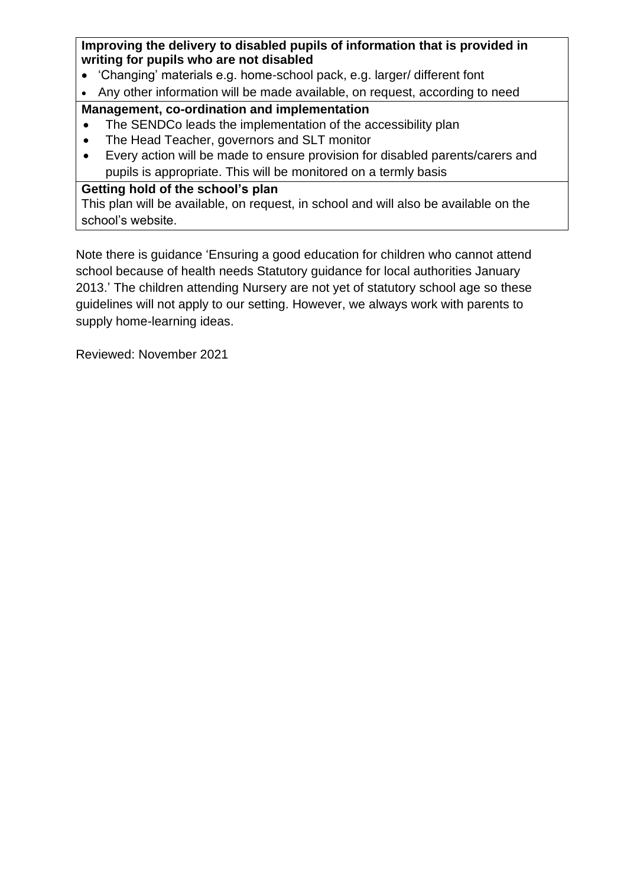**Improving the delivery to disabled pupils of information that is provided in writing for pupils who are not disabled**

- 'Changing' materials e.g. home-school pack, e.g. larger/ different font
- Any other information will be made available, on request, according to need

## **Management, co-ordination and implementation**

- The SENDCo leads the implementation of the accessibility plan
- The Head Teacher, governors and SLT monitor
- Every action will be made to ensure provision for disabled parents/carers and pupils is appropriate. This will be monitored on a termly basis

## **Getting hold of the school's plan**

This plan will be available, on request, in school and will also be available on the school's website.

Note there is guidance 'Ensuring a good education for children who cannot attend school because of health needs Statutory guidance for local authorities January 2013.' The children attending Nursery are not yet of statutory school age so these guidelines will not apply to our setting. However, we always work with parents to supply home-learning ideas.

Reviewed: November 2021